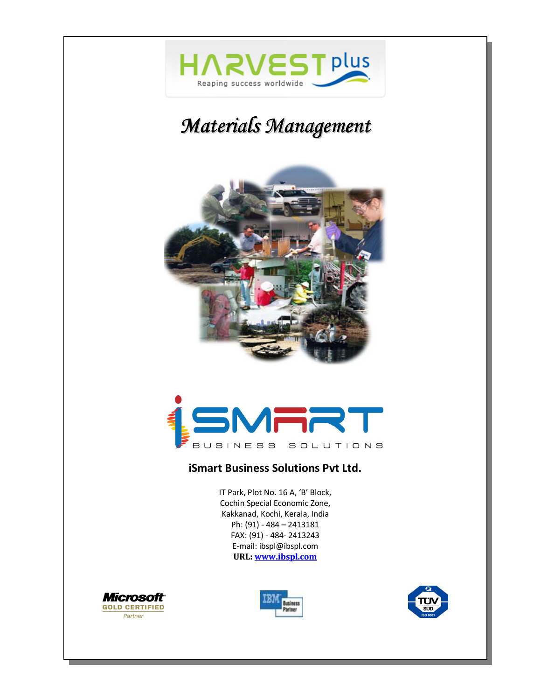

# *Materials Management*





#### **iSmart Business Solutions Pvt Ltd.**

IT Park, Plot No. 16 A, 'B' Block, Cochin Special Economic Zone, Kakkanad, Kochi, Kerala, India Ph: (91) - 484 – 2413181 FAX: (91) - 484- 2413243 E-mail: ibspl@ibspl.com **URL: www.ibspl.com**





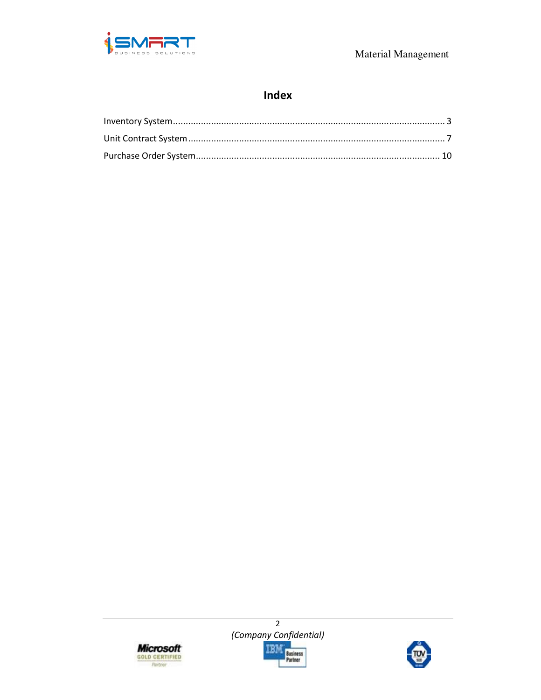

## Index





 $\overline{2}$ 

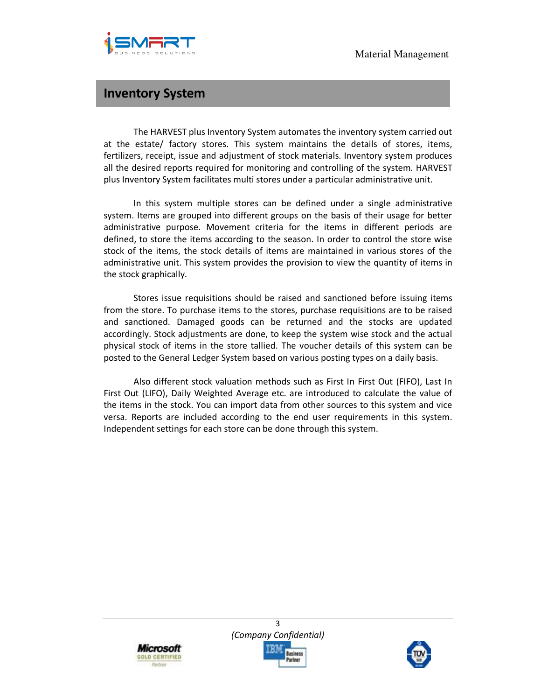

#### **Inventory System**

The HARVEST plus Inventory System automates the inventory system carried out at the estate/ factory stores. This system maintains the details of stores, items, fertilizers, receipt, issue and adjustment of stock materials. Inventory system produces all the desired reports required for monitoring and controlling of the system. HARVEST plus Inventory System facilitates multi stores under a particular administrative unit.

In this system multiple stores can be defined under a single administrative system. Items are grouped into different groups on the basis of their usage for better administrative purpose. Movement criteria for the items in different periods are defined, to store the items according to the season. In order to control the store wise stock of the items, the stock details of items are maintained in various stores of the administrative unit. This system provides the provision to view the quantity of items in the stock graphically.

Stores issue requisitions should be raised and sanctioned before issuing items from the store. To purchase items to the stores, purchase requisitions are to be raised and sanctioned. Damaged goods can be returned and the stocks are updated accordingly. Stock adjustments are done, to keep the system wise stock and the actual physical stock of items in the store tallied. The voucher details of this system can be posted to the General Ledger System based on various posting types on a daily basis.

Also different stock valuation methods such as First In First Out (FIFO), Last In First Out (LIFO), Daily Weighted Average etc. are introduced to calculate the value of the items in the stock. You can import data from other sources to this system and vice versa. Reports are included according to the end user requirements in this system. Independent settings for each store can be done through this system.





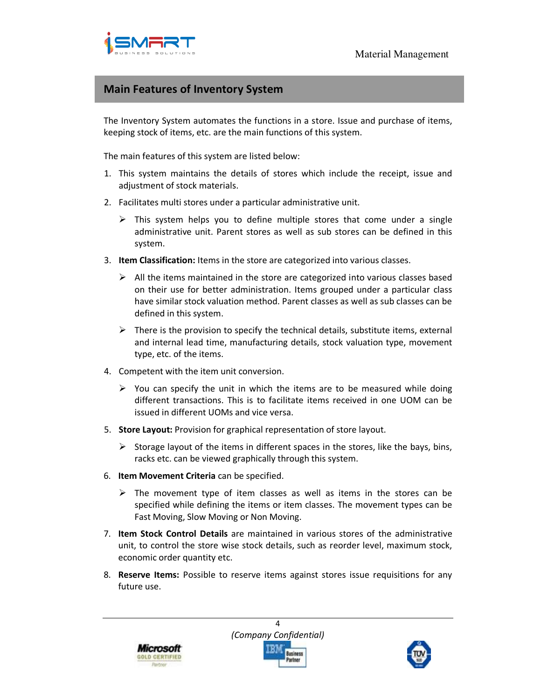

#### **Main Features of Inventory System**

The Inventory System automates the functions in a store. Issue and purchase of items, keeping stock of items, etc. are the main functions of this system.

The main features of this system are listed below:

- 1. This system maintains the details of stores which include the receipt, issue and adjustment of stock materials.
- 2. Facilitates multi stores under a particular administrative unit.
	- $\triangleright$  This system helps you to define multiple stores that come under a single administrative unit. Parent stores as well as sub stores can be defined in this system.
- 3. **Item Classification:** Items in the store are categorized into various classes.
	- $\triangleright$  All the items maintained in the store are categorized into various classes based on their use for better administration. Items grouped under a particular class have similar stock valuation method. Parent classes as well as sub classes can be defined in this system.
	- $\triangleright$  There is the provision to specify the technical details, substitute items, external and internal lead time, manufacturing details, stock valuation type, movement type, etc. of the items.
- 4. Competent with the item unit conversion.
	- $\triangleright$  You can specify the unit in which the items are to be measured while doing different transactions. This is to facilitate items received in one UOM can be issued in different UOMs and vice versa.
- 5. **Store Layout:** Provision for graphical representation of store layout.
	- $\triangleright$  Storage layout of the items in different spaces in the stores, like the bays, bins, racks etc. can be viewed graphically through this system.
- 6. **Item Movement Criteria** can be specified.
	- $\triangleright$  The movement type of item classes as well as items in the stores can be specified while defining the items or item classes. The movement types can be Fast Moving, Slow Moving or Non Moving.
- 7. **Item Stock Control Details** are maintained in various stores of the administrative unit, to control the store wise stock details, such as reorder level, maximum stock, economic order quantity etc.
- 8. **Reserve Items:** Possible to reserve items against stores issue requisitions for any future use.



4 *(Company Confidential)*  usiness

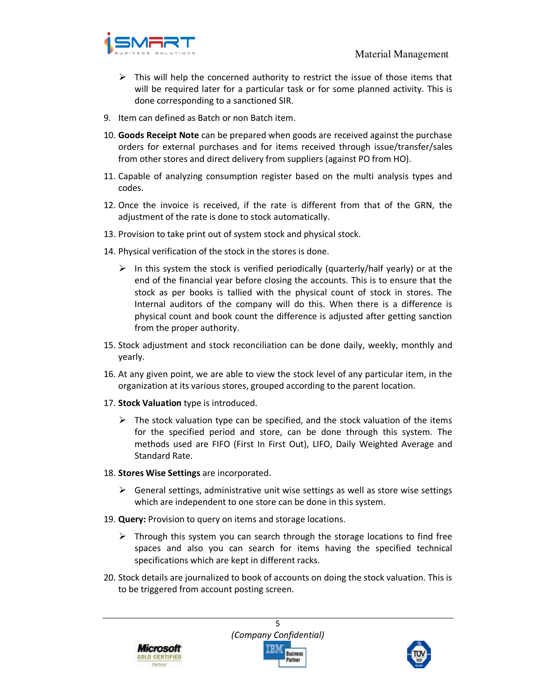

- $\triangleright$  This will help the concerned authority to restrict the issue of those items that will be required later for a particular task or for some planned activity. This is done corresponding to a sanctioned SIR.
- 9. Item can defined as Batch or non Batch item.
- 10. **Goods Receipt Note** can be prepared when goods are received against the purchase orders for external purchases and for items received through issue/transfer/sales from other stores and direct delivery from suppliers (against PO from HO).
- 11. Capable of analyzing consumption register based on the multi analysis types and codes.
- 12. Once the invoice is received, if the rate is different from that of the GRN, the adjustment of the rate is done to stock automatically.
- 13. Provision to take print out of system stock and physical stock.
- 14. Physical verification of the stock in the stores is done.
	- $\triangleright$  In this system the stock is verified periodically (quarterly/half yearly) or at the end of the financial year before closing the accounts. This is to ensure that the stock as per books is tallied with the physical count of stock in stores. The Internal auditors of the company will do this. When there is a difference is physical count and book count the difference is adjusted after getting sanction from the proper authority.
- 15. Stock adjustment and stock reconciliation can be done daily, weekly, monthly and yearly.
- 16. At any given point, we are able to view the stock level of any particular item, in the organization at its various stores, grouped according to the parent location.
- 17. **Stock Valuation** type is introduced.
	- $\triangleright$  The stock valuation type can be specified, and the stock valuation of the items for the specified period and store, can be done through this system. The methods used are FIFO (First In First Out), LIFO, Daily Weighted Average and Standard Rate.
- 18. **Stores Wise Settings** are incorporated.
	- $\triangleright$  General settings, administrative unit wise settings as well as store wise settings which are independent to one store can be done in this system.
- 19. **Query:** Provision to query on items and storage locations.
	- $\triangleright$  Through this system you can search through the storage locations to find free spaces and also you can search for items having the specified technical specifications which are kept in different racks.
- 20. Stock details are journalized to book of accounts on doing the stock valuation. This is to be triggered from account posting screen.





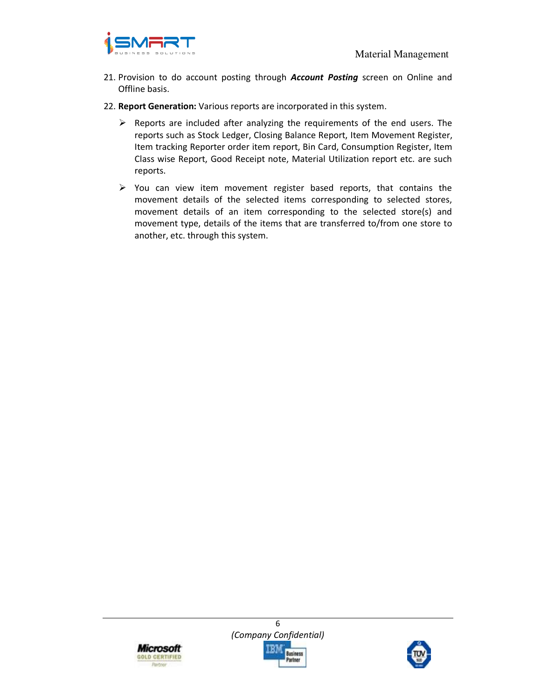

- 21. Provision to do account posting through *Account Posting* screen on Online and Offline basis.
- 22. **Report Generation:** Various reports are incorporated in this system.
	- $\triangleright$  Reports are included after analyzing the requirements of the end users. The reports such as Stock Ledger, Closing Balance Report, Item Movement Register, Item tracking Reporter order item report, Bin Card, Consumption Register, Item Class wise Report, Good Receipt note, Material Utilization report etc. are such reports.
	- $\triangleright$  You can view item movement register based reports, that contains the movement details of the selected items corresponding to selected stores, movement details of an item corresponding to the selected store(s) and movement type, details of the items that are transferred to/from one store to another, etc. through this system.





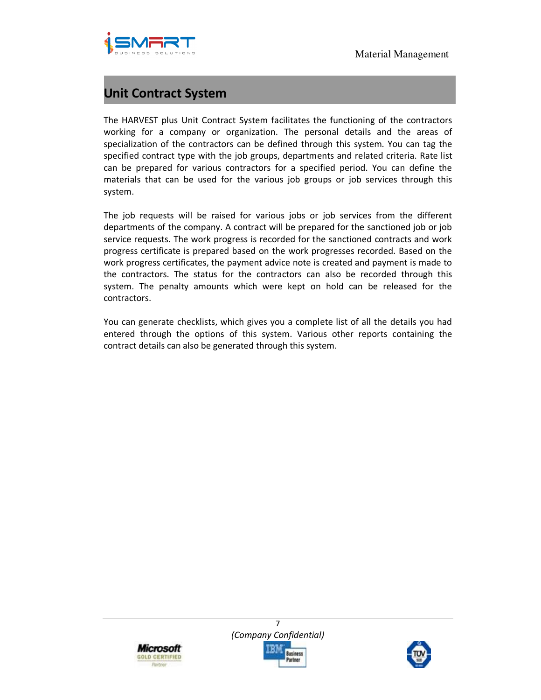

# **Unit Contract System**

The HARVEST plus Unit Contract System facilitates the functioning of the contractors working for a company or organization. The personal details and the areas of specialization of the contractors can be defined through this system. You can tag the specified contract type with the job groups, departments and related criteria. Rate list can be prepared for various contractors for a specified period. You can define the materials that can be used for the various job groups or job services through this system.

The job requests will be raised for various jobs or job services from the different departments of the company. A contract will be prepared for the sanctioned job or job service requests. The work progress is recorded for the sanctioned contracts and work progress certificate is prepared based on the work progresses recorded. Based on the work progress certificates, the payment advice note is created and payment is made to the contractors. The status for the contractors can also be recorded through this system. The penalty amounts which were kept on hold can be released for the contractors.

You can generate checklists, which gives you a complete list of all the details you had entered through the options of this system. Various other reports containing the contract details can also be generated through this system.





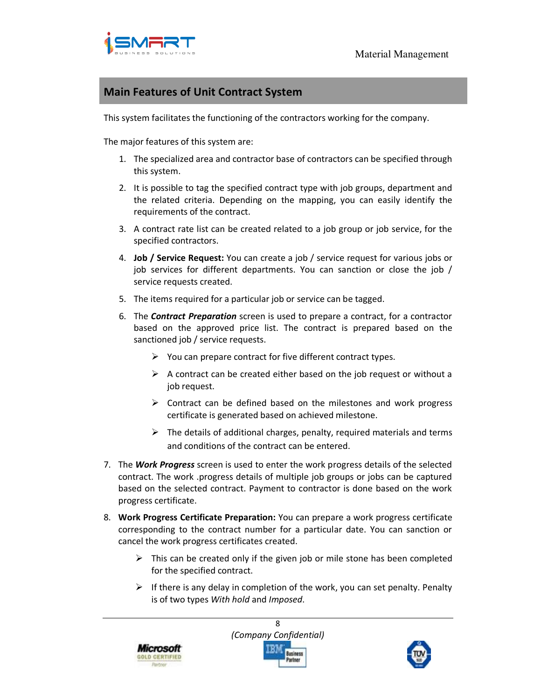

#### **Main Features of Unit Contract System**

This system facilitates the functioning of the contractors working for the company.

The major features of this system are:

- 1. The specialized area and contractor base of contractors can be specified through this system.
- 2. It is possible to tag the specified contract type with job groups, department and the related criteria. Depending on the mapping, you can easily identify the requirements of the contract.
- 3. A contract rate list can be created related to a job group or job service, for the specified contractors.
- 4. **Job / Service Request:** You can create a job / service request for various jobs or job services for different departments. You can sanction or close the job / service requests created.
- 5. The items required for a particular job or service can be tagged.
- 6. The *Contract Preparation* screen is used to prepare a contract, for a contractor based on the approved price list. The contract is prepared based on the sanctioned job / service requests.
	- $\triangleright$  You can prepare contract for five different contract types.
	- $\triangleright$  A contract can be created either based on the job request or without a job request.
	- $\triangleright$  Contract can be defined based on the milestones and work progress certificate is generated based on achieved milestone.
	- $\triangleright$  The details of additional charges, penalty, required materials and terms and conditions of the contract can be entered.
- 7. The *Work Progress* screen is used to enter the work progress details of the selected contract. The work .progress details of multiple job groups or jobs can be captured based on the selected contract. Payment to contractor is done based on the work progress certificate.
- 8. **Work Progress Certificate Preparation:** You can prepare a work progress certificate corresponding to the contract number for a particular date. You can sanction or cancel the work progress certificates created.
	- $\triangleright$  This can be created only if the given job or mile stone has been completed for the specified contract.
	- $\triangleright$  If there is any delay in completion of the work, you can set penalty. Penalty is of two types *With hold* and *Imposed*.





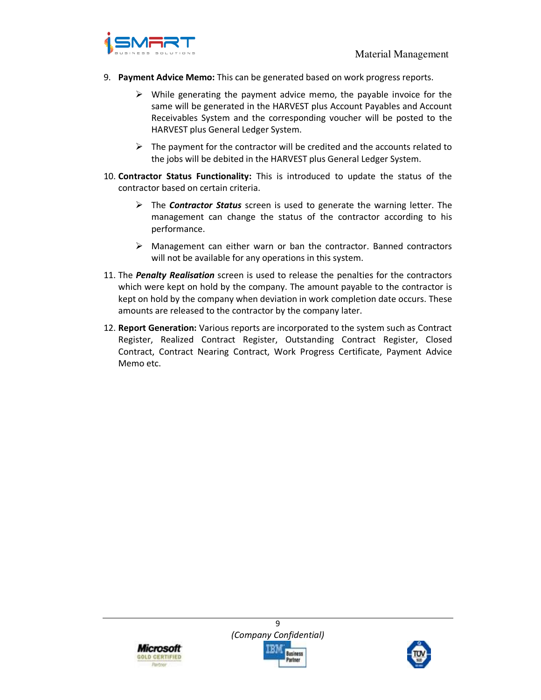

- 9. **Payment Advice Memo:** This can be generated based on work progress reports.
	- $\triangleright$  While generating the payment advice memo, the payable invoice for the same will be generated in the HARVEST plus Account Payables and Account Receivables System and the corresponding voucher will be posted to the HARVEST plus General Ledger System.
	- $\triangleright$  The payment for the contractor will be credited and the accounts related to the jobs will be debited in the HARVEST plus General Ledger System.
- 10. **Contractor Status Functionality:** This is introduced to update the status of the contractor based on certain criteria.
	- The *Contractor Status* screen is used to generate the warning letter. The management can change the status of the contractor according to his performance.
	- Management can either warn or ban the contractor. Banned contractors will not be available for any operations in this system.
- 11. The *Penalty Realisation* screen is used to release the penalties for the contractors which were kept on hold by the company. The amount payable to the contractor is kept on hold by the company when deviation in work completion date occurs. These amounts are released to the contractor by the company later.
- 12. **Report Generation:** Various reports are incorporated to the system such as Contract Register, Realized Contract Register, Outstanding Contract Register, Closed Contract, Contract Nearing Contract, Work Progress Certificate, Payment Advice Memo etc.





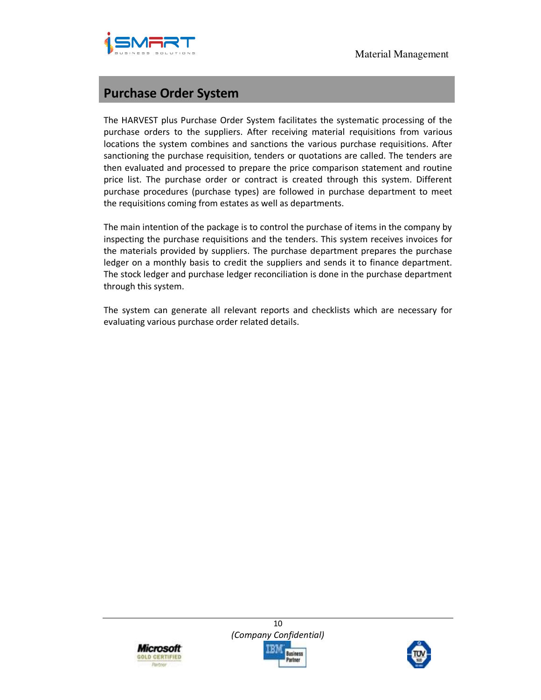

# **Purchase Order System**

The HARVEST plus Purchase Order System facilitates the systematic processing of the purchase orders to the suppliers. After receiving material requisitions from various locations the system combines and sanctions the various purchase requisitions. After sanctioning the purchase requisition, tenders or quotations are called. The tenders are then evaluated and processed to prepare the price comparison statement and routine price list. The purchase order or contract is created through this system. Different purchase procedures (purchase types) are followed in purchase department to meet the requisitions coming from estates as well as departments.

The main intention of the package is to control the purchase of items in the company by inspecting the purchase requisitions and the tenders. This system receives invoices for the materials provided by suppliers. The purchase department prepares the purchase ledger on a monthly basis to credit the suppliers and sends it to finance department. The stock ledger and purchase ledger reconciliation is done in the purchase department through this system.

The system can generate all relevant reports and checklists which are necessary for evaluating various purchase order related details.



10 *(Company Confidential)*  usiness

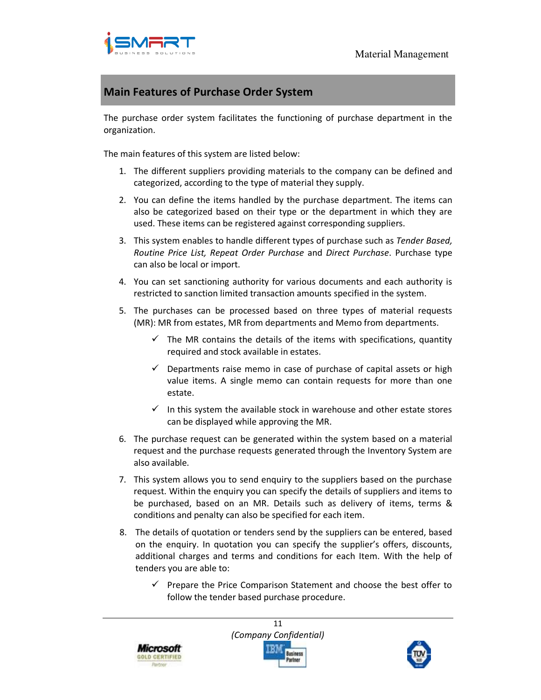

### **Main Features of Purchase Order System**

The purchase order system facilitates the functioning of purchase department in the organization.

The main features of this system are listed below:

- 1. The different suppliers providing materials to the company can be defined and categorized, according to the type of material they supply.
- 2. You can define the items handled by the purchase department. The items can also be categorized based on their type or the department in which they are used. These items can be registered against corresponding suppliers.
- 3. This system enables to handle different types of purchase such as *Tender Based, Routine Price List, Repeat Order Purchase* and *Direct Purchase*. Purchase type can also be local or import.
- 4. You can set sanctioning authority for various documents and each authority is restricted to sanction limited transaction amounts specified in the system.
- 5. The purchases can be processed based on three types of material requests (MR): MR from estates, MR from departments and Memo from departments.
	- $\checkmark$  The MR contains the details of the items with specifications, quantity required and stock available in estates.
	- $\checkmark$  Departments raise memo in case of purchase of capital assets or high value items. A single memo can contain requests for more than one estate.
	- $\checkmark$  In this system the available stock in warehouse and other estate stores can be displayed while approving the MR.
- 6. The purchase request can be generated within the system based on a material request and the purchase requests generated through the Inventory System are also available.
- 7. This system allows you to send enquiry to the suppliers based on the purchase request. Within the enquiry you can specify the details of suppliers and items to be purchased, based on an MR. Details such as delivery of items, terms & conditions and penalty can also be specified for each item.
- 8. The details of quotation or tenders send by the suppliers can be entered, based on the enquiry. In quotation you can specify the supplier's offers, discounts, additional charges and terms and conditions for each Item. With the help of tenders you are able to:
	- Prepare the Price Comparison Statement and choose the best offer to follow the tender based purchase procedure.